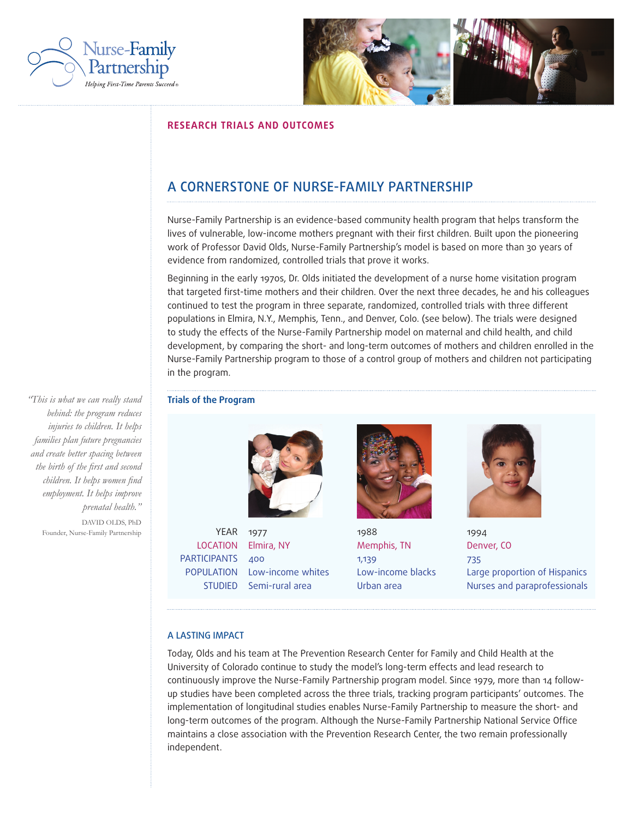



# **RESEARCH TRIALS AND OUTCOMES**

# A CORNERSTONE OF NURSE-FAMILY PARTNERSHIP

Nurse-Family Partnership is an evidence-based community health program that helps transform the lives of vulnerable, low-income mothers pregnant with their first children. Built upon the pioneering work of Professor David Olds, Nurse-Family Partnership's model is based on more than 30 years of evidence from randomized, controlled trials that prove it works.

Beginning in the early 1970s, Dr. Olds initiated the development of a nurse home visitation program that targeted first-time mothers and their children. Over the next three decades, he and his colleagues continued to test the program in three separate, randomized, controlled trials with three different populations in Elmira, N.Y., Memphis, Tenn., and Denver, Colo. (see below). The trials were designed to study the effects of the Nurse-Family Partnership model on maternal and child health, and child development, by comparing the short- and long-term outcomes of mothers and children enrolled in the Nurse-Family Partnership program to those of a control group of mothers and children not participating in the program.



YEAR 1977 LOCATION Elmira, NY PARTICIPANTS 400 POPULATION Low-income whites STUDIED Semi-rural area



1988 Memphis, TN 1,139 Low-income blacks Urban area



1994 Denver, CO 735 Large proportion of Hispanics Nurses and paraprofessionals

## A LASTING IMPACT

Today, Olds and his team at The Prevention Research Center for Family and Child Health at the University of Colorado continue to study the model's long-term effects and lead research to continuously improve the Nurse-Family Partnership program model. Since 1979, more than 14 followup studies have been completed across the three trials, tracking program participants' outcomes. The implementation of longitudinal studies enables Nurse-Family Partnership to measure the short- and long-term outcomes of the program. Although the Nurse-Family Partnership National Service Office maintains a close association with the Prevention Research Center, the two remain professionally independent.

*"This is what we can really stand* **Trials of the Program** *behind: the program reduces injuries to children. It helps families plan future pregnancies and create better spacing between the birth of the first and second children. It helps women find employment. It helps improve prenatal health."*

DAVID OLDS, PhD Founder, Nurse-Family Partnership